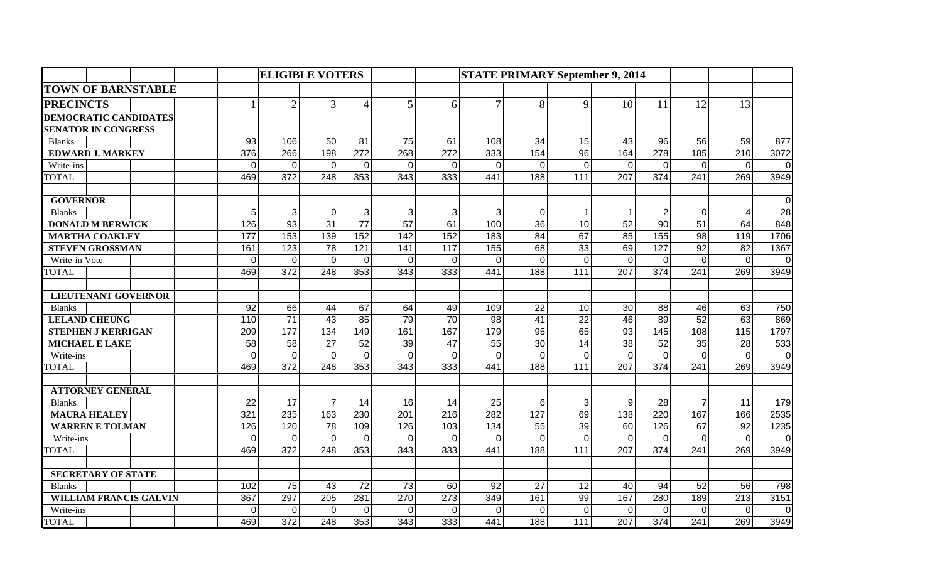|                               |              | <b>ELIGIBLE VOTERS</b> |                |                  |                 |                |                   | <b>STATE PRIMARY September 9, 2014</b> |                   |                  |                  |                 |                  |                |
|-------------------------------|--------------|------------------------|----------------|------------------|-----------------|----------------|-------------------|----------------------------------------|-------------------|------------------|------------------|-----------------|------------------|----------------|
| <b>TOWN OF BARNSTABLE</b>     |              |                        |                |                  |                 |                |                   |                                        |                   |                  |                  |                 |                  |                |
| <b>PRECINCTS</b>              | $\mathbf{1}$ | $\overline{2}$         | 3              | $\overline{4}$   | 5               | 6              | $\overline{7}$    | 8                                      | 9                 | 10               | 11               | 12              | 13               |                |
| <b>DEMOCRATIC CANDIDATES</b>  |              |                        |                |                  |                 |                |                   |                                        |                   |                  |                  |                 |                  |                |
| <b>SENATOR IN CONGRESS</b>    |              |                        |                |                  |                 |                |                   |                                        |                   |                  |                  |                 |                  |                |
| <b>Blanks</b>                 | 93           | 106                    | 50             | 81               | 75              | 61             | 108               | 34                                     | 15                | 43               | 96               | 56              | 59               | 877            |
| <b>EDWARD J. MARKEY</b>       | 376          | 266                    | 198            | 272              | 268             | 272            | 333               | 154                                    | 96                | 164              | 278              | 185             | 210              | 3072           |
| Write-ins                     | 0            | $\mathbf 0$            | $\overline{0}$ | $\mathbf 0$      | $\overline{0}$  | 0              | $\mathbf 0$       | $\Omega$                               | $\overline{0}$    | $\mathbf 0$      | $\mathbf 0$      | $\mathbf 0$     | $\mathbf 0$      | $\overline{0}$ |
| <b>TOTAL</b>                  | 469          | 372                    | 248            | 353              | 343             | 333            | 441               | 188                                    | 111               | 207              | 374              | 241             | 269              | 3949           |
| <b>GOVERNOR</b>               |              |                        |                |                  |                 |                |                   |                                        |                   |                  |                  |                 |                  | $\overline{0}$ |
| <b>Blanks</b>                 | 5            | 3                      | $\Omega$       | 3                | 3               | 3              | 3                 | $\Omega$                               | $\mathbf{1}$      | $\mathbf{1}$     | 2 <sup>1</sup>   | $\Omega$        | $\overline{4}$   | 28             |
| <b>DONALD M BERWICK</b>       | 126          | $\overline{93}$        | 31             | $\overline{77}$  | $\overline{57}$ | 61             | 100               | 36                                     | 10                | $\overline{52}$  | $\overline{90}$  | 51              | 64               | 848            |
| <b>MARTHA COAKLEY</b>         | 177          | 153                    | 139            | 152              | 142             | 152            | 183               | $\overline{84}$                        | 67                | 85               | 155              | $\overline{98}$ | 119              | 1706           |
| <b>STEVEN GROSSMAN</b>        | 161          | 123                    | 78             | $\overline{121}$ | 141             | 117            | $\frac{155}{155}$ | 68                                     | $\overline{33}$   | 69               | 127              | 92              | 82               | 1367           |
| Write-in Vote                 | $\mathbf 0$  | $\mathbf 0$            | $\mathbf{0}$   | $\mathbf 0$      | $\mathbf 0$     | $\overline{0}$ | $\mathbf 0$       | $\Omega$                               | $\overline{0}$    | $\mathbf 0$      | $\mathbf 0$      | $\Omega$        | $\mathbf 0$      | $\overline{0}$ |
| <b>TOTAL</b>                  | 469          | 372                    | 248            | $\frac{1}{353}$  | 343             | 333            | 441               | 188                                    | 111               | 207              | $\overline{374}$ | 241             | 269              | 3949           |
| <b>LIEUTENANT GOVERNOR</b>    |              |                        |                |                  |                 |                |                   |                                        |                   |                  |                  |                 |                  |                |
| <b>Blanks</b>                 | 92           | 66                     | 44             | 67               | 64              | 49             | 109               | 22                                     | 10                | 30               | 88               | 46              | 63               | 750            |
| <b>LELAND CHEUNG</b>          | 110          | 71                     | 43             | 85               | 79              | 70             | 98                | 41                                     | 22                | 46               | 89               | 52              | 63               | 869            |
| <b>STEPHEN J KERRIGAN</b>     | 209          | 177                    | 134            | 149              | 161             | 167            | 179               | 95                                     | 65                | 93               | 145              | 108             | 115              | 1797           |
| <b>MICHAEL E LAKE</b>         | 58           | 58                     | 27             | 52               | 39              | 47             | 55                | 30                                     | 14                | 38               | 52               | 35              | 28               | 533            |
| Write-ins                     | 0            | 0                      | $\mathbf 0$    | $\mathbf{0}$     | $\mathbf 0$     | 0              | $\mathbf 0$       | $\Omega$                               | $\Omega$          | $\mathbf 0$      | $\overline{0}$   | $\mathbf 0$     | $\mathbf 0$      | $\overline{0}$ |
| <b>TOTAL</b>                  | 469          | 372                    | 248            | 353              | 343             | 333            | 441               | 188                                    | 111               | 207              | 374              | 241             | 269              | 3949           |
| <b>ATTORNEY GENERAL</b>       |              |                        |                |                  |                 |                |                   |                                        |                   |                  |                  |                 |                  |                |
| <b>Blanks</b>                 | 22           | 17                     | $\overline{7}$ | 14               | 16              | 14             | 25                | 6                                      | 3                 | 9                | 28               | $\overline{7}$  | 11               | 179            |
| <b>MAURA HEALEY</b>           | 321          | 235                    | 163            | 230              | 201             | 216            | 282               | 127                                    | 69                | 138              | 220              | 167             | 166              | 2535           |
| <b>WARREN E TOLMAN</b>        | 126          | 120                    | 78             | 109              | 126             | 103            | 134               | 55                                     | 39                | 60               | 126              | 67              | 92               | 1235           |
| Write-ins                     | 0            | $\mathbf 0$            | $\overline{0}$ | $\mathbf 0$      | 0               | 0              | $\Omega$          | $\Omega$                               | $\overline{0}$    | $\mathbf 0$      | $\mathbf 0$      | $\mathbf{0}$    | $\mathbf 0$      | $\overline{0}$ |
| <b>TOTAL</b>                  | 469          | 372                    | 248            | 353              | 343             | 333            | 441               | 188                                    | 111               | 207              | 374              | 241             | 269              | 3949           |
| <b>SECRETARY OF STATE</b>     |              |                        |                |                  |                 |                |                   |                                        |                   |                  |                  |                 |                  |                |
| <b>Blanks</b>                 | 102          | 75                     | 43             | 72               | 73              | 60             | 92                | 27                                     | 12                | 40               | 94               | 52              | 56               | 798            |
| <b>WILLIAM FRANCIS GALVIN</b> | 367          | 297                    | 205            | 281              | 270             | 273            | 349               | 161                                    | 99                | 167              | 280              | 189             | $\overline{213}$ | 3151           |
| Write-ins                     | $\Omega$     | $\overline{0}$         | $\overline{0}$ | $\mathbf{0}$     | $\Omega$        | 0              | $\Omega$          | $\Omega$                               | $\overline{0}$    | $\Omega$         | $\overline{0}$   | $\Omega$        | $\Omega$         | $\overline{0}$ |
| <b>TOTAL</b>                  | 469          | $\overline{372}$       | 248            | $\frac{1}{353}$  | 343             | 333            | 441               | 188                                    | $\frac{111}{111}$ | $\overline{207}$ | $\overline{374}$ | 241             | 269              | 3949           |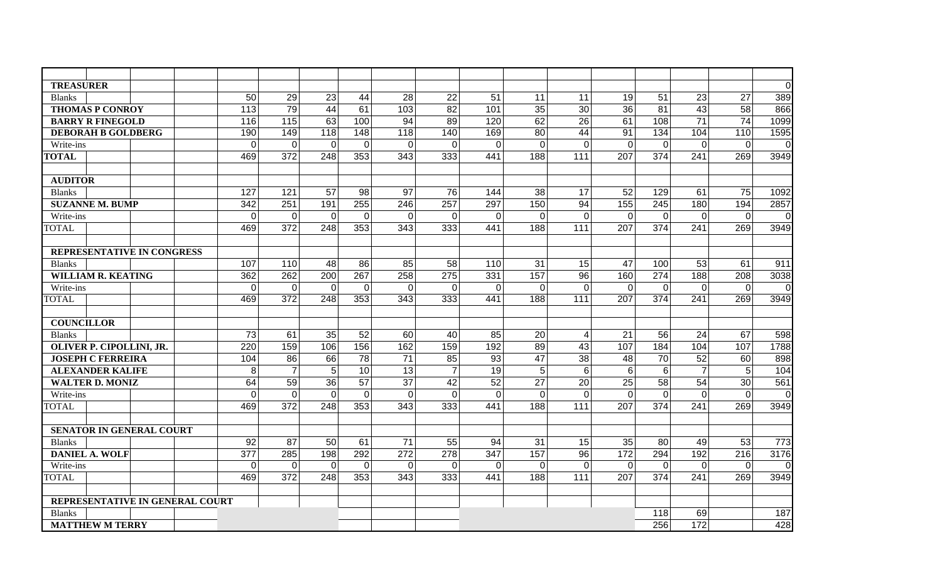| <b>TREASURER</b>                |  |                |                |                 |                 |              |                |                |                |                |                |                 |                |                | $\mathbf 0$ |
|---------------------------------|--|----------------|----------------|-----------------|-----------------|--------------|----------------|----------------|----------------|----------------|----------------|-----------------|----------------|----------------|-------------|
| <b>Blanks</b>                   |  | 50             | 29             | 23              | 44              | 28           | 22             | 51             | 11             | 11             | 19             | 51              | 23             | 27             | 389         |
| <b>THOMAS P CONROY</b>          |  | 113            | 79             | 44              | 61              | 103          | 82             | 101            | 35             | 30             | 36             | 81              | 43             | 58             | 866         |
| <b>BARRY R FINEGOLD</b>         |  | 116            | 115            | 63              | 100             | 94           | 89             | 120            | 62             | 26             | 61             | 108             | 71             | 74             | 1099        |
| <b>DEBORAH B GOLDBERG</b>       |  | 190            | 149            | 118             | 148             | 118          | 140            | 169            | 80             | 44             | 91             | 134             | 104            | 110            | 1595        |
| Write-ins                       |  | $\overline{0}$ | $\mathbf 0$    | $\overline{0}$  | $\Omega$        | $\mathbf 0$  | $\overline{O}$ | $\overline{0}$ | $\Omega$       | $\Omega$       | $\overline{0}$ | $\overline{0}$  | $\Omega$       | $\Omega$       | $\mathbf 0$ |
| <b>TOTAL</b>                    |  | 469            | 372            | 248             | 353             | 343          | 333            | 441            | 188            | 111            | 207            | 374             | 241            | 269            | 3949        |
| <b>AUDITOR</b>                  |  |                |                |                 |                 |              |                |                |                |                |                |                 |                |                |             |
| <b>Blanks</b>                   |  | 127            | 121            | 57              | 98              | 97           | 76             | 144            | 38             | 17             | 52             | 129             | 61             | 75             | 1092        |
| <b>SUZANNE M. BUMP</b>          |  | 342            | 251            | 191             | 255             | 246          | 257            | 297            | 150            | 94             | 155            | 245             | 180            | 194            | 2857        |
| Write-ins                       |  | $\mathbf 0$    | $\mathbf 0$    | $\overline{0}$  | $\overline{0}$  | $\mathbf 0$  | $\overline{0}$ | $\mathbf 0$    | $\overline{0}$ | $\overline{0}$ | $\overline{0}$ | $\mathbf 0$     | $\mathbf 0$    | $\mathbf 0$    | $\mathbf 0$ |
| <b>TOTAL</b>                    |  | 469            | 372            | 248             | 353             | 343          | 333            | 441            | 188            | $111$          | 207            | 374             | 241            | 269            | 3949        |
| REPRESENTATIVE IN CONGRESS      |  |                |                |                 |                 |              |                |                |                |                |                |                 |                |                |             |
| <b>Blanks</b>                   |  | 107            | 110            | 48              | 86              | 85           | 58             | 110            | 31             | 15             | 47             | 100             | 53             | 61             | 911         |
| <b>WILLIAM R. KEATING</b>       |  | 362            | 262            | 200             | 267             | 258          | 275            | 331            | 157            | 96             | 160            | 274             | 188            | 208            | 3038        |
| Write-ins                       |  | $\mathbf 0$    | 0              | $\overline{0}$  | 0               | 0            | $\overline{O}$ | $\Omega$       | $\Omega$       | $\mathbf 0$    | $\overline{0}$ | 0               | $\Omega$       | 0              | $\mathbf 0$ |
| <b>TOTAL</b>                    |  | 469            | 372            | 248             | 353             | 343          | 333            | 441            | 188            | 111            | 207            | 374             | 241            | 269            | 3949        |
|                                 |  |                |                |                 |                 |              |                |                |                |                |                |                 |                |                |             |
| <b>COUNCILLOR</b>               |  |                |                |                 |                 |              |                |                |                |                |                |                 |                |                |             |
| <b>Blanks</b>                   |  | 73             | 61             | 35              | 52              | 60           | 40             | 85             | 20             | $\overline{4}$ | 21             | 56              | 24             | 67             | 598         |
| OLIVER P. CIPOLLINI, JR.        |  | 220            | 159            | 106             | 156             | 162          | 159            | 192            | 89             | 43             | 107            | 184             | 104            | 107            | 1788        |
| <b>JOSEPH C FERREIRA</b>        |  | 104            | 86             | 66              | $\overline{78}$ | 71           | 85             | 93             | 47             | 38             | 48             | 70              | 52             | 60             | 898         |
| <b>ALEXANDER KALIFE</b>         |  | 8              | $\overline{7}$ | 5               | 10              | 13           | $\overline{7}$ | 19             | 5 <sup>1</sup> | $6\phantom{1}$ | 6              | $6 \,$          | $\overline{7}$ | 5              | 104         |
| <b>WALTER D. MONIZ</b>          |  | 64             | 59             | $\overline{36}$ | $\overline{57}$ | 37           | 42             | 52             | 27             | 20             | 25             | $\overline{58}$ | 54             | 30             | 561         |
| Write-ins                       |  | $\mathbf 0$    | $\mathbf 0$    | $\overline{0}$  | $\mathbf 0$     | $\mathbf 0$  | $\overline{0}$ | $\mathbf 0$    | $\overline{0}$ | $\mathbf 0$    | $\overline{0}$ | $\mathbf 0$     | $\Omega$       | $\overline{0}$ | $\mathbf 0$ |
| <b>TOTAL</b>                    |  | 469            | 372            | 248             | 353             | 343          | 333            | 441            | 188            | 111            | 207            | 374             | 241            | 269            | 3949        |
| <b>SENATOR IN GENERAL COURT</b> |  |                |                |                 |                 |              |                |                |                |                |                |                 |                |                |             |
| <b>Blanks</b>                   |  | 92             | 87             | 50              | 61              | 71           | 55             | 94             | 31             | 15             | 35             | 80              | 49             | 53             | 773         |
| <b>DANIEL A. WOLF</b>           |  | 377            | 285            | 198             | 292             | 272          | 278            | 347            | 157            | 96             | 172            | 294             | 192            | 216            | 3176        |
| Write-ins                       |  | $\mathbf 0$    | $\mathbf 0$    | $\mathbf 0$     | $\mathbf 0$     | $\mathbf{0}$ | $\overline{0}$ | $\mathbf{0}$   | $\overline{0}$ | $\overline{0}$ | $\overline{0}$ | $\mathbf 0$     | $\mathbf{0}$   | $\mathbf 0$    | $\mathbf 0$ |
| <b>TOTAL</b>                    |  | 469            | 372            | 248             | 353             | 343          | 333            | 441            | 188            | 111            | 207            | 374             | 241            | 269            | 3949        |
| REPRESENTATIVE IN GENERAL COURT |  |                |                |                 |                 |              |                |                |                |                |                |                 |                |                |             |
| <b>Blanks</b>                   |  |                |                |                 |                 |              |                |                |                |                |                | 118             | 69             |                | 187         |
| <b>MATTHEW M TERRY</b>          |  |                |                |                 |                 |              |                |                |                |                |                | 256             | 172            |                | 428         |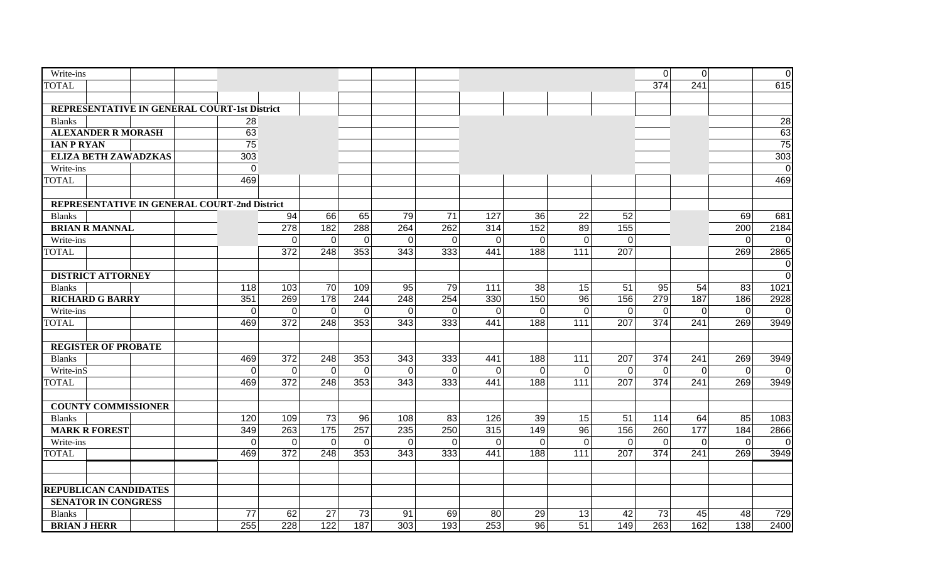| Write-ins                                    |                |             |                |             |          |             |             |                |             |                | $\overline{0}$ | $\overline{0}$ |                | $\overline{0}$ |
|----------------------------------------------|----------------|-------------|----------------|-------------|----------|-------------|-------------|----------------|-------------|----------------|----------------|----------------|----------------|----------------|
| <b>TOTAL</b>                                 |                |             |                |             |          |             |             |                |             |                | 374            | 241            |                | 615            |
|                                              |                |             |                |             |          |             |             |                |             |                |                |                |                |                |
| REPRESENTATIVE IN GENERAL COURT-1st District |                |             |                |             |          |             |             |                |             |                |                |                |                |                |
| <b>Blanks</b>                                | 28             |             |                |             |          |             |             |                |             |                |                |                |                | 28             |
| <b>ALEXANDER R MORASH</b>                    | 63             |             |                |             |          |             |             |                |             |                |                |                |                | 63             |
| <b>IAN P RYAN</b>                            | 75             |             |                |             |          |             |             |                |             |                |                |                |                | 75             |
| <b>ELIZA BETH ZAWADZKAS</b>                  | 303            |             |                |             |          |             |             |                |             |                |                |                |                | 303            |
| Write-ins                                    | $\mathbf 0$    |             |                |             |          |             |             |                |             |                |                |                |                | $\mathbf 0$    |
| <b>TOTAL</b>                                 | 469            |             |                |             |          |             |             |                |             |                |                |                |                | 469            |
|                                              |                |             |                |             |          |             |             |                |             |                |                |                |                |                |
| REPRESENTATIVE IN GENERAL COURT-2nd District |                |             |                |             |          |             |             |                |             |                |                |                |                |                |
| <b>Blanks</b>                                |                | 94          | 66             | 65          | 79       | 71          | 127         | 36             | 22          | 52             |                |                | 69             | 681            |
| <b>BRIAN R MANNAL</b>                        |                | 278         | 182            | 288         | 264      | 262         | 314         | 152            | 89          | 155            |                |                | 200            | 2184           |
| Write-ins                                    |                | $\mathbf 0$ | $\overline{0}$ | $\mathbf 0$ | $\Omega$ | $\mathbf 0$ | $\mathbf 0$ | $\overline{0}$ | $\mathbf 0$ | $\overline{0}$ |                |                | $\overline{0}$ | $\mathbf 0$    |
| <b>TOTAL</b>                                 |                | 372         | 248            | 353         | 343      | 333         | 441         | 188            | 111         | 207            |                |                | 269            | 2865           |
|                                              |                |             |                |             |          |             |             |                |             |                |                |                |                | $\mathbf 0$    |
| <b>DISTRICT ATTORNEY</b>                     |                |             |                |             |          |             |             |                |             |                |                |                |                | $\mathbf 0$    |
| <b>Blanks</b>                                | 118            | 103         | 70             | 109         | 95       | 79          | 111         | 38             | 15          | 51             | 95             | 54             | 83             | 1021           |
| <b>RICHARD G BARRY</b>                       | 351            | 269         | 178            | 244         | 248      | 254         | 330         | 150            | 96          | 156            | 279            | 187            | 186            | 2928           |
| Write-ins                                    | $\mathbf 0$    | 0           | $\overline{0}$ | $\mathbf 0$ | $\Omega$ | $\mathbf 0$ | $\Omega$    | $\overline{0}$ | $\mathbf 0$ | $\overline{0}$ | $\mathbf 0$    | $\mathbf 0$    | $\overline{0}$ | $\overline{0}$ |
| <b>TOTAL</b>                                 | 469            | 372         | 248            | 353         | 343      | 333         | 441         | 188            | 111         | 207            | 374            | 241            | 269            | 3949           |
|                                              |                |             |                |             |          |             |             |                |             |                |                |                |                |                |
| <b>REGISTER OF PROBATE</b>                   |                |             |                |             |          |             |             |                |             |                |                |                |                |                |
| <b>Blanks</b>                                | 469            | 372         | 248            | 353         | 343      | 333         | 441         | 188            | 111         | 207            | 374            | 241            | 269            | 3949           |
| Write-inS                                    | $\overline{0}$ | $\mathbf 0$ | $\overline{0}$ | $\mathbf 0$ | $\Omega$ | $\mathbf 0$ | $\mathbf 0$ | $\overline{0}$ | $\mathbf 0$ | $\overline{0}$ | $\mathbf 0$    | $\mathbf 0$    | $\mathbf 0$    | $\mathbf 0$    |
| <b>TOTAL</b>                                 | 469            | 372         | 248            | 353         | 343      | 333         | 441         | 188            | 111         | 207            | 374            | 241            | 269            | 3949           |
|                                              |                |             |                |             |          |             |             |                |             |                |                |                |                |                |
| <b>COUNTY COMMISSIONER</b>                   |                |             |                |             |          |             |             |                |             |                |                |                |                |                |
| <b>Blanks</b>                                | 120            | 109         | 73             | 96          | 108      | 83          | 126         | 39             | 15          | 51             | 114            | 64             | 85             | 1083           |
| <b>MARK R FOREST</b>                         | 349            | 263         | 175            | 257         | 235      | 250         | 315         | 149            | 96          | 156            | 260            | 177            | 184            | 2866           |
| Write-ins                                    | $\mathbf 0$    | 0           | $\overline{0}$ | $\mathbf 0$ | 0        | $\mathbf 0$ | 0           | 0              | $\mathbf 0$ | $\mathbf 0$    | $\mathbf 0$    | $\mathbf 0$    | $\overline{0}$ | $\mathbf 0$    |
| <b>TOTAL</b>                                 | 469            | 372         | 248            | 353         | 343      | 333         | 441         | 188            | $111$       | 207            | 374            | 241            | 269            | 3949           |
|                                              |                |             |                |             |          |             |             |                |             |                |                |                |                |                |
|                                              |                |             |                |             |          |             |             |                |             |                |                |                |                |                |
| <b>REPUBLICAN CANDIDATES</b>                 |                |             |                |             |          |             |             |                |             |                |                |                |                |                |
| <b>SENATOR IN CONGRESS</b>                   |                |             |                |             |          |             |             |                |             |                |                |                |                |                |
| <b>Blanks</b>                                | 77             | 62          | 27             | 73          | 91       | 69          | 80          | 29             | 13          | 42             | 73             | 45             | 48             | 729            |
| <b>BRIAN J HERR</b>                          | 255            | 228         | 122            | 187         | 303      | 193         | 253         | 96             | 51          | 149            | 263            | 162            | 138            | 2400           |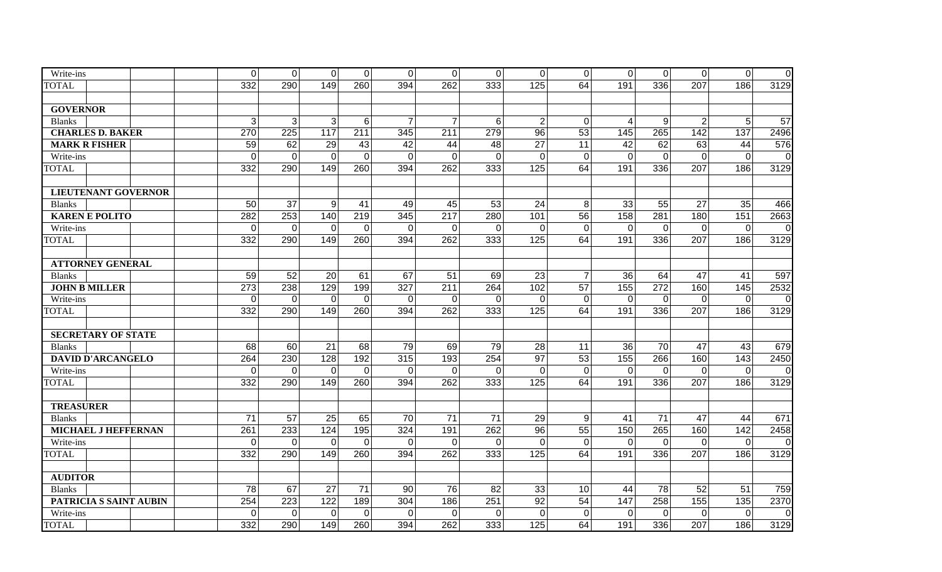| Write-ins                  | $\overline{0}$ | $\overline{0}$     | $\overline{0}$        | 0              | 0                  | 0              | $\overline{0}$ | $\overline{0}$   | $\overline{0}$    | $\overline{0}$     | $\overline{0}$ | $\overline{0}$     | $\overline{0}$ | $\mathbf 0$ |
|----------------------------|----------------|--------------------|-----------------------|----------------|--------------------|----------------|----------------|------------------|-------------------|--------------------|----------------|--------------------|----------------|-------------|
| <b>TOTAL</b>               | 332            | 290                | 149                   | 260            | 394                | 262            | 333            | 125              | 64                | 191                | 336            | 207                | 186            | 3129        |
|                            |                |                    |                       |                |                    |                |                |                  |                   |                    |                |                    |                |             |
| <b>GOVERNOR</b>            |                |                    |                       |                |                    |                |                |                  |                   |                    |                |                    |                |             |
| <b>Blanks</b>              | 3 <sup>1</sup> | $\mathbf{3}$       | 3                     | 6              | $\overline{7}$     | $\overline{7}$ | 6              | $\overline{2}$   | $\overline{0}$    | $\overline{4}$     | 9              | $\overline{2}$     | $5\phantom{.}$ | 57          |
| <b>CHARLES D. BAKER</b>    | 270            | 225                | 117                   | 211            | 345                | 211            | 279            | $\overline{96}$  | 53                | 145                | 265            | 142                | 137            | 2496        |
| <b>MARK R FISHER</b>       | 59             | 62                 | 29                    | 43             | 42                 | 44             | 48             | 27               | 11                | 42                 | 62             | 63                 | 44             | 576         |
| Write-ins                  | $\overline{0}$ | $\mathsf 0$        | $\mathbf 0$           | $\overline{0}$ | 0                  | $\mathbf 0$    | $\mathbf 0$    | $\Omega$         | $\mathbf 0$       | $\mathbf 0$        | $\mathbf 0$    | $\mathbf 0$        | $\mathbf 0$    | $\mathbf 0$ |
| <b>TOTAL</b>               | 332            | 290                | 149                   | 260            | 394                | 262            | 333            | 125              | 64                | 191                | 336            | 207                | 186            | 3129        |
| <b>LIEUTENANT GOVERNOR</b> |                |                    |                       |                |                    |                |                |                  |                   |                    |                |                    |                |             |
| <b>Blanks</b>              | 50             | 37                 | 9                     | 41             | 49                 | 45             | 53             | 24               | 8                 | 33                 | 55             | 27                 | 35             | 466         |
| <b>KAREN E POLITO</b>      | 282            | 253                | 140                   | 219            | 345                | 217            | 280            | 101              | 56                | 158                | 281            | 180                | 151            | 2663        |
| Write-ins                  | $\overline{0}$ | $\mathbf 0$        | $\Omega$              | $\mathbf 0$    | $\Omega$           | $\overline{0}$ | $\Omega$       | $\Omega$         | $\mathbf 0$       | $\mathbf 0$        | $\mathbf 0$    | $\Omega$           | $\mathbf 0$    | $\pmb{0}$   |
| <b>TOTAL</b>               | 332            | 290                | 149                   | 260            | 394                | 262            | 333            | $\overline{125}$ | 64                | 191                | 336            | 207                | 186            | 3129        |
| <b>ATTORNEY GENERAL</b>    |                |                    |                       |                |                    |                |                |                  |                   |                    |                |                    |                |             |
| <b>Blanks</b>              | 59             | 52                 | 20                    | 61             | 67                 | 51             | 69             | 23               | $\overline{7}$    | 36                 | 64             | 47                 | 41             | 597         |
| <b>JOHN B MILLER</b>       | 273            | 238                | 129                   | 199            | 327                | 211            | 264            | 102              | 57                | 155                | 272            | 160                | 145            | 2532        |
| Write-ins                  | $\overline{0}$ | 0                  | $\overline{0}$        | $\overline{0}$ | $\Omega$           | $\mathbf 0$    | $\overline{0}$ | $\mathbf 0$      | $\mathbf 0$       | $\mathbf 0$        | $\mathbf 0$    | 0                  | $\overline{0}$ | $\mathbf 0$ |
| <b>TOTAL</b>               | 332            | 290                | 149                   | 260            | 394                | 262            | 333            | 125              | 64                | 191                | 336            | 207                | 186            | 3129        |
| <b>SECRETARY OF STATE</b>  |                |                    |                       |                |                    |                |                |                  |                   |                    |                |                    |                |             |
|                            | 68             | 60                 | 21                    | 68             | 79                 | 69             | 79             | 28               | 11                | 36                 | 70             | 47                 | 43             | 679         |
| <b>Blanks</b>              | 264            |                    |                       | 192            |                    | 193            | 254            | $\overline{97}$  |                   |                    | 266            |                    | 143            |             |
| <b>DAVID D'ARCANGELO</b>   | $\overline{0}$ | 230<br>$\mathbf 0$ | 128<br>$\overline{0}$ | $\mathbf 0$    | 315<br>$\mathbf 0$ | $\mathbf 0$    | $\mathbf 0$    | $\mathbf 0$      | 53<br>$\mathbf 0$ | 155<br>$\mathbf 0$ | $\mathbf 0$    | 160<br>$\mathbf 0$ | $\mathbf 0$    | 2450        |
| Write-ins                  | 332            | 290                | 149                   | 260            | 394                | 262            | 333            | 125              | 64                | 191                | 336            | 207                | 186            | $\mathbf 0$ |
| <b>TOTAL</b>               |                |                    |                       |                |                    |                |                |                  |                   |                    |                |                    |                | 3129        |
| <b>TREASURER</b>           |                |                    |                       |                |                    |                |                |                  |                   |                    |                |                    |                |             |
| <b>Blanks</b>              | 71             | 57                 | 25                    | 65             | 70                 | 71             | 71             | 29               | 9                 | 41                 | 71             | 47                 | 44             | 671         |
| MICHAEL J HEFFERNAN        | 261            | 233                | 124                   | 195            | 324                | 191            | 262            | 96               | 55                | 150                | 265            | 160                | 142            | 2458        |
| Write-ins                  | $\overline{0}$ | $\mathbf 0$        | $\mathbf 0$           | $\mathbf 0$    | $\overline{0}$     | $\mathbf 0$    | $\overline{0}$ | $\overline{0}$   | $\mathbf 0$       | $\mathbf 0$        | $\mathbf 0$    | $\mathbf 0$        | $\mathbf 0$    | $\mathbf 0$ |
| <b>TOTAL</b>               | 332            | 290                | 149                   | 260            | 394                | 262            | 333            | 125              | 64                | 191                | 336            | 207                | 186            | 3129        |
| <b>AUDITOR</b>             |                |                    |                       |                |                    |                |                |                  |                   |                    |                |                    |                |             |
| <b>Blanks</b>              | 78             | 67                 | 27                    | 71             | 90                 | 76             | 82             | 33               | 10                | 44                 | 78             | 52                 | 51             | 759         |
| PATRICIA S SAINT AUBIN     | 254            | 223                | 122                   | 189            | 304                | 186            | 251            | 92               | 54                | 147                | 258            | 155                | 135            | 2370        |
| Write-ins                  | $\overline{0}$ | 0                  | $\mathbf 0$           | $\mathbf 0$    | $\Omega$           | $\mathbf 0$    | 0              | $\Omega$         | $\mathbf 0$       | $\mathbf 0$        | $\mathbf 0$    | $\mathbf 0$        | $\mathbf 0$    | $\pmb{0}$   |
| <b>TOTAL</b>               | 332            | 290                | 149                   | 260            | 394                | 262            | 333            | 125              | 64                | 191                | 336            | 207                | 186            | 3129        |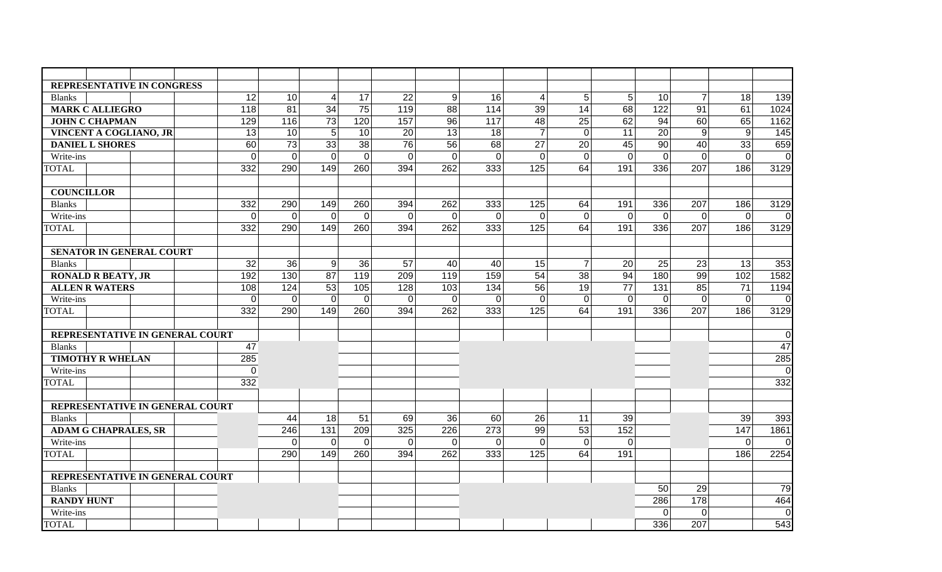|                              | REPRESENTATIVE IN CONGRESS      |                |             |                 |                |                |                 |             |                |                 |                |                |                |                |                 |
|------------------------------|---------------------------------|----------------|-------------|-----------------|----------------|----------------|-----------------|-------------|----------------|-----------------|----------------|----------------|----------------|----------------|-----------------|
| <b>Blanks</b>                |                                 | 12             | 10          | 4               | 17             | 22             | 9               | 16          | 4              | 5 <sup>1</sup>  | 5 <sup>1</sup> | 10             | $\overline{7}$ | 18             | 139             |
| <b>MARK C ALLIEGRO</b>       |                                 | 118            | 81          | $\overline{34}$ | 75             | 119            | 88              | 114         | 39             | 14              | 68             | $\frac{1}{22}$ | 91             | 61             | 1024            |
| <b>JOHN C CHAPMAN</b><br>129 |                                 |                | 116         | $\overline{73}$ | 120            | 157            | $\overline{96}$ | 117         | 48             | $\overline{25}$ | 62             | 94             | 60             | 65             | 1162            |
|                              | VINCENT A COGLIANO, JR          | 13             | 10          | 5               | 10             | 20             | 13              | 18          | $\overline{7}$ | $\mathbf 0$     | 11             | 20             | $9\,$          | $9\,$          | 145             |
| <b>DANIEL L SHORES</b>       |                                 | 60             | 73          | 33              | 38             | 76             | 56              | 68          | 27             | 20              | 45             | 90             | 40             | 33             | 659             |
| Write-ins                    |                                 | $\overline{0}$ | $\mathbf 0$ | $\overline{0}$  | $\overline{0}$ | $\overline{0}$ | $\mathbf 0$     | $\mathbf 0$ | $\overline{0}$ | $\mathbf 0$     | $\overline{0}$ | $\mathbf 0$    | $\Omega$       | $\mathbf 0$    | $\mathbf 0$     |
| <b>TOTAL</b>                 |                                 | 332            | 290         | 149             | 260            | 394            | 262             | 333         | 125            | 64              | 191            | 336            | 207            | 186            | 3129            |
|                              |                                 |                |             |                 |                |                |                 |             |                |                 |                |                |                |                |                 |
| <b>COUNCILLOR</b>            |                                 |                |             |                 |                |                |                 |             |                |                 |                |                |                |                |                 |
| <b>Blanks</b>                |                                 | 332            | 290         | 149             | 260            | 394            | 262             | 333         | 125            | 64              | 191            | 336            | 207            | 186            | 3129            |
| Write-ins                    |                                 | $\overline{0}$ | $\mathbf 0$ | $\mathbf 0$     | $\overline{0}$ | $\overline{0}$ | $\overline{0}$  | $\mathbf 0$ | $\overline{0}$ | $\overline{0}$  | $\overline{0}$ | $\overline{0}$ | $\mathbf 0$    | $\overline{0}$ | $\overline{0}$  |
| <b>TOTAL</b>                 |                                 | 332            | 290         | 149             | 260            | 394            | 262             | 333         | 125            | 64              | 191            | 336            | 207            | 186            | 3129            |
|                              |                                 |                |             |                 |                |                |                 |             |                |                 |                |                |                |                |                 |
|                              | SENATOR IN GENERAL COURT        |                |             |                 |                |                |                 |             |                |                 |                |                |                |                |                 |
| <b>Blanks</b>                |                                 | 32             | 36          | 9               | 36             | 57             | 40              | 40          | 15             | $\overline{7}$  | 20             | 25             | 23             | 13             | 353             |
| <b>RONALD R BEATY, JR</b>    |                                 | 192            | 130         | 87              | 119            | 209            | 119             | 159         | 54             | 38              | 94             | 180            | 99             | 102            | 1582            |
| <b>ALLEN R WATERS</b>        |                                 | 108            | 124         | 53              | 105            | 128            | 103             | 134         | 56             | 19              | 77             | 131            | 85             | 71             | 1194            |
| Write-ins                    |                                 | $\overline{0}$ | $\Omega$    | $\Omega$        | $\Omega$       | $\Omega$       | $\overline{0}$  | $\Omega$    | $\Omega$       | $\mathbf{0}$    | $\Omega$       | $\Omega$       | $\Omega$       | $\Omega$       | $\mathbf 0$     |
| <b>TOTAL</b>                 |                                 | 332            | 290         | 149             | 260            | 394            | 262             | 333         | 125            | 64              | 191            | 336            | 207            | 186            | 3129            |
|                              | REPRESENTATIVE IN GENERAL COURT |                |             |                 |                |                |                 |             |                |                 |                |                |                |                | $\mathbf 0$     |
| <b>Blanks</b>                |                                 | 47             |             |                 |                |                |                 |             |                |                 |                |                |                |                | $\overline{47}$ |
| <b>TIMOTHY R WHELAN</b>      |                                 | 285            |             |                 |                |                |                 |             |                |                 |                |                |                |                | 285             |
| Write-ins                    |                                 | $\mathbf 0$    |             |                 |                |                |                 |             |                |                 |                |                |                |                | $\overline{0}$  |
| <b>TOTAL</b>                 |                                 | 332            |             |                 |                |                |                 |             |                |                 |                |                |                |                | 332             |
|                              |                                 |                |             |                 |                |                |                 |             |                |                 |                |                |                |                |                 |
|                              | REPRESENTATIVE IN GENERAL COURT |                |             |                 |                |                |                 |             |                |                 |                |                |                |                |                 |
| <b>Blanks</b>                |                                 |                | 44          | 18              | 51             | 69             | 36              | 60          | 26             | 11              | 39             |                |                | 39             | 393             |
|                              | <b>ADAM G CHAPRALES, SR</b>     |                | 246         | 131             | 209            | 325            | 226             | 273         | 99             | 53              | 152            |                |                | 147            | 1861            |
| Write-ins                    |                                 |                | $\mathbf 0$ | $\mathbf 0$     | $\overline{0}$ | $\mathbf{0}$   | $\mathbf 0$     | $\mathbf 0$ | $\Omega$       | $\mathbf 0$     | $\overline{0}$ |                |                | $\Omega$       | $\mathbf 0$     |
| <b>TOTAL</b>                 |                                 |                | 290         | 149             | 260            | 394            | 262             | 333         | 125            | 64              | 191            |                |                | 186            | 2254            |
|                              |                                 |                |             |                 |                |                |                 |             |                |                 |                |                |                |                |                 |
|                              | REPRESENTATIVE IN GENERAL COURT |                |             |                 |                |                |                 |             |                |                 |                |                |                |                |                 |
| <b>Blanks</b>                |                                 |                |             |                 |                |                |                 |             |                |                 |                | 50             | 29             |                | 79              |
| <b>RANDY HUNT</b>            |                                 |                |             |                 |                |                |                 |             |                |                 |                | 286            | 178            |                | 464             |
| Write-ins                    |                                 |                |             |                 |                |                |                 |             |                |                 |                | $\mathbf 0$    | $\Omega$       |                | $\mathbf 0$     |
| <b>TOTAL</b>                 |                                 |                |             |                 |                |                |                 |             |                |                 |                | 336            | 207            |                | 543             |